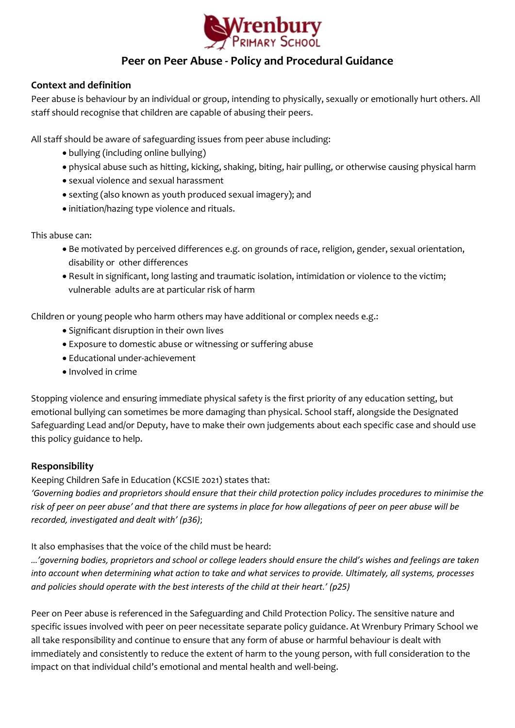

# **Peer on Peer Abuse - Policy and Procedural Guidance**

## **Context and definition**

Peer abuse is behaviour by an individual or group, intending to physically, sexually or emotionally hurt others. All staff should recognise that children are capable of abusing their peers.

All staff should be aware of safeguarding issues from peer abuse including:

- bullying (including online bullying)
- physical abuse such as hitting, kicking, shaking, biting, hair pulling, or otherwise causing physical harm
- sexual violence and sexual harassment
- sexting (also known as youth produced sexual imagery); and
- initiation/hazing type violence and rituals.

This abuse can:

- Be motivated by perceived differences e.g. on grounds of race, religion, gender, sexual orientation, disability or other differences
- Result in significant, long lasting and traumatic isolation, intimidation or violence to the victim; vulnerable adults are at particular risk of harm

Children or young people who harm others may have additional or complex needs e.g.:

- Significant disruption in their own lives
- Exposure to domestic abuse or witnessing or suffering abuse
- Educational under-achievement
- Involved in crime

Stopping violence and ensuring immediate physical safety is the first priority of any education setting, but emotional bullying can sometimes be more damaging than physical. School staff, alongside the Designated Safeguarding Lead and/or Deputy, have to make their own judgements about each specific case and should use this policy guidance to help.

### **Responsibility**

Keeping Children Safe in Education (KCSIE 2021) states that:

*'Governing bodies and proprietors should ensure that their child protection policy includes procedures to minimise the risk of peer on peer abuse' and that there are systems in place for how allegations of peer on peer abuse will be recorded, investigated and dealt with' (p36)*;

It also emphasises that the voice of the child must be heard:

*…'governing bodies, proprietors and school or college leaders should ensure the child's wishes and feelings are taken into account when determining what action to take and what services to provide. Ultimately, all systems, processes and policies should operate with the best interests of the child at their heart.' (p25)*

Peer on Peer abuse is referenced in the Safeguarding and Child Protection Policy. The sensitive nature and specific issues involved with peer on peer necessitate separate policy guidance. At Wrenbury Primary School we all take responsibility and continue to ensure that any form of abuse or harmful behaviour is dealt with immediately and consistently to reduce the extent of harm to the young person, with full consideration to the impact on that individual child's emotional and mental health and well-being.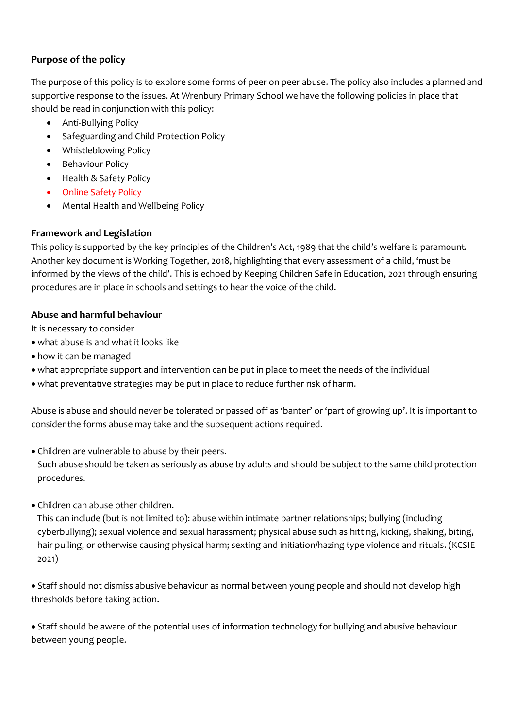# **Purpose of the policy**

The purpose of this policy is to explore some forms of peer on peer abuse. The policy also includes a planned and supportive response to the issues. At Wrenbury Primary School we have the following policies in place that should be read in conjunction with this policy:

- Anti-Bullying Policy
- Safeguarding and Child Protection Policy
- Whistleblowing Policy
- Behaviour Policy
- Health & Safety Policy
- Online Safety Policy
- Mental Health and Wellbeing Policy

# **Framework and Legislation**

This policy is supported by the key principles of the Children's Act, 1989 that the child's welfare is paramount. Another key document is Working Together, 2018, highlighting that every assessment of a child, 'must be informed by the views of the child'. This is echoed by Keeping Children Safe in Education, 2021 through ensuring procedures are in place in schools and settings to hear the voice of the child.

### **Abuse and harmful behaviour**

It is necessary to consider

- what abuse is and what it looks like
- how it can be managed
- what appropriate support and intervention can be put in place to meet the needs of the individual
- what preventative strategies may be put in place to reduce further risk of harm.

Abuse is abuse and should never be tolerated or passed off as 'banter' or 'part of growing up'. It is important to consider the forms abuse may take and the subsequent actions required.

Children are vulnerable to abuse by their peers.

 Such abuse should be taken as seriously as abuse by adults and should be subject to the same child protection procedures.

Children can abuse other children.

 This can include (but is not limited to): abuse within intimate partner relationships; bullying (including cyberbullying); sexual violence and sexual harassment; physical abuse such as hitting, kicking, shaking, biting, hair pulling, or otherwise causing physical harm; sexting and initiation/hazing type violence and rituals. (KCSIE 2021)

 Staff should not dismiss abusive behaviour as normal between young people and should not develop high thresholds before taking action.

 Staff should be aware of the potential uses of information technology for bullying and abusive behaviour between young people.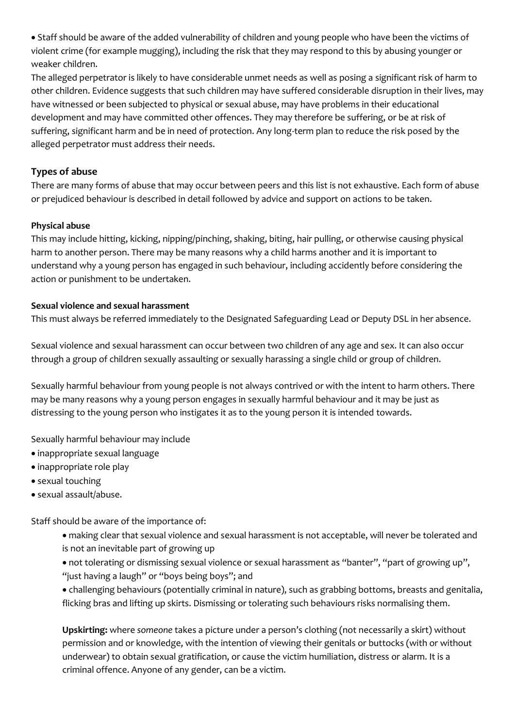Staff should be aware of the added vulnerability of children and young people who have been the victims of violent crime (for example mugging), including the risk that they may respond to this by abusing younger or weaker children.

The alleged perpetrator is likely to have considerable unmet needs as well as posing a significant risk of harm to other children. Evidence suggests that such children may have suffered considerable disruption in their lives, may have witnessed or been subjected to physical or sexual abuse, may have problems in their educational development and may have committed other offences. They may therefore be suffering, or be at risk of suffering, significant harm and be in need of protection. Any long-term plan to reduce the risk posed by the alleged perpetrator must address their needs.

# **Types of abuse**

There are many forms of abuse that may occur between peers and this list is not exhaustive. Each form of abuse or prejudiced behaviour is described in detail followed by advice and support on actions to be taken.

# **Physical abuse**

This may include hitting, kicking, nipping/pinching, shaking, biting, hair pulling, or otherwise causing physical harm to another person. There may be many reasons why a child harms another and it is important to understand why a young person has engaged in such behaviour, including accidently before considering the action or punishment to be undertaken.

### **Sexual violence and sexual harassment**

This must always be referred immediately to the Designated Safeguarding Lead or Deputy DSL in her absence.

Sexual violence and sexual harassment can occur between two children of any age and sex. It can also occur through a group of children sexually assaulting or sexually harassing a single child or group of children.

Sexually harmful behaviour from young people is not always contrived or with the intent to harm others. There may be many reasons why a young person engages in sexually harmful behaviour and it may be just as distressing to the young person who instigates it as to the young person it is intended towards.

Sexually harmful behaviour may include

- inappropriate sexual language
- inappropriate role play
- sexual touching
- sexual assault/abuse.

Staff should be aware of the importance of:

- making clear that sexual violence and sexual harassment is not acceptable, will never be tolerated and is not an inevitable part of growing up
- not tolerating or dismissing sexual violence or sexual harassment as "banter", "part of growing up", "just having a laugh" or "boys being boys"; and
- challenging behaviours (potentially criminal in nature), such as grabbing bottoms, breasts and genitalia, flicking bras and lifting up skirts. Dismissing or tolerating such behaviours risks normalising them.

**Upskirting:** where *someone* takes a picture under a person's clothing (not necessarily a skirt) without permission and or knowledge, with the intention of viewing their genitals or buttocks (with or without underwear) to obtain sexual gratification, or cause the victim humiliation, distress or alarm. It is a criminal offence. Anyone of any gender, can be a victim.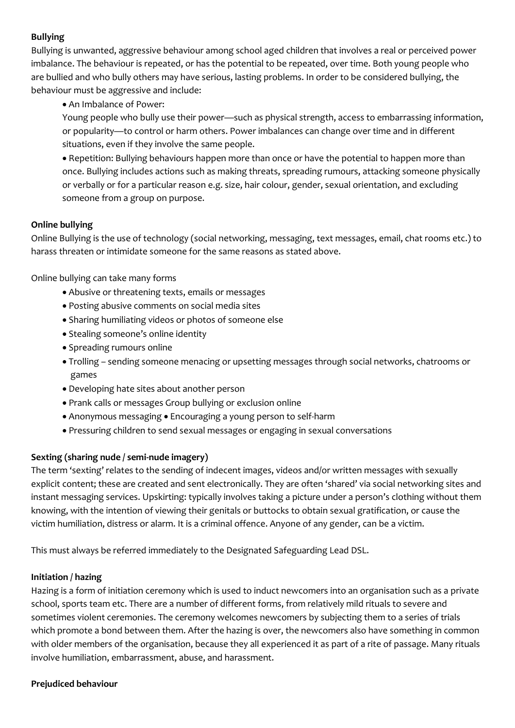## **Bullying**

Bullying is unwanted, aggressive behaviour among school aged children that involves a real or perceived power imbalance. The behaviour is repeated, or has the potential to be repeated, over time. Both young people who are bullied and who bully others may have serious, lasting problems. In order to be considered bullying, the behaviour must be aggressive and include:

An Imbalance of Power:

Young people who bully use their power—such as physical strength, access to embarrassing information, or popularity—to control or harm others. Power imbalances can change over time and in different situations, even if they involve the same people.

 Repetition: Bullying behaviours happen more than once or have the potential to happen more than once. Bullying includes actions such as making threats, spreading rumours, attacking someone physically or verbally or for a particular reason e.g. size, hair colour, gender, sexual orientation, and excluding someone from a group on purpose.

### **Online bullying**

Online Bullying is the use of technology (social networking, messaging, text messages, email, chat rooms etc.) to harass threaten or intimidate someone for the same reasons as stated above.

Online bullying can take many forms

- Abusive or threatening texts, emails or messages
- Posting abusive comments on social media sites
- Sharing humiliating videos or photos of someone else
- Stealing someone's online identity
- Spreading rumours online
- Trolling sending someone menacing or upsetting messages through social networks, chatrooms or games
- Developing hate sites about another person
- Prank calls or messages Group bullying or exclusion online
- Anonymous messaging Encouraging a young person to self-harm
- Pressuring children to send sexual messages or engaging in sexual conversations

# **Sexting (sharing nude / semi-nude imagery)**

The term 'sexting' relates to the sending of indecent images, videos and/or written messages with sexually explicit content; these are created and sent electronically. They are often 'shared' via social networking sites and instant messaging services. Upskirting: typically involves taking a picture under a person's clothing without them knowing, with the intention of viewing their genitals or buttocks to obtain sexual gratification, or cause the victim humiliation, distress or alarm. It is a criminal offence. Anyone of any gender, can be a victim.

This must always be referred immediately to the Designated Safeguarding Lead DSL.

### **Initiation / hazing**

Hazing is a form of initiation ceremony which is used to induct newcomers into an organisation such as a private school, sports team etc. There are a number of different forms, from relatively mild rituals to severe and sometimes violent ceremonies. The ceremony welcomes newcomers by subjecting them to a series of trials which promote a bond between them. After the hazing is over, the newcomers also have something in common with older members of the organisation, because they all experienced it as part of a rite of passage. Many rituals involve humiliation, embarrassment, abuse, and harassment.

### **Prejudiced behaviour**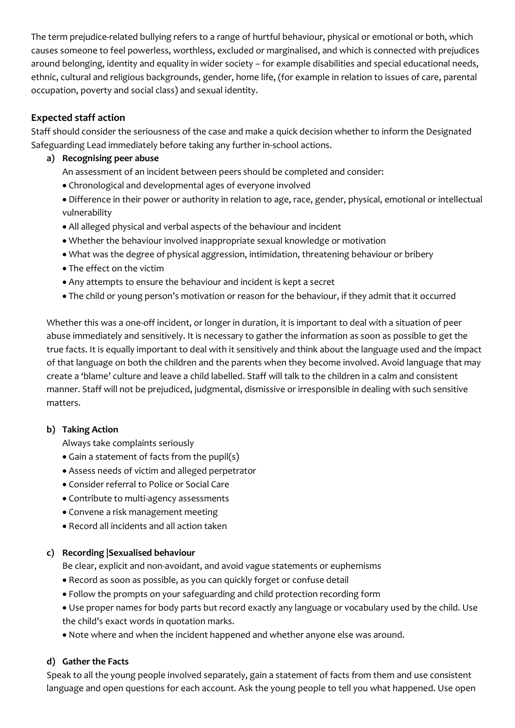The term prejudice-related bullying refers to a range of hurtful behaviour, physical or emotional or both, which causes someone to feel powerless, worthless, excluded or marginalised, and which is connected with prejudices around belonging, identity and equality in wider society – for example disabilities and special educational needs, ethnic, cultural and religious backgrounds, gender, home life, (for example in relation to issues of care, parental occupation, poverty and social class) and sexual identity.

# **Expected staff action**

Staff should consider the seriousness of the case and make a quick decision whether to inform the Designated Safeguarding Lead immediately before taking any further in-school actions.

- **a) Recognising peer abuse** 
	- An assessment of an incident between peers should be completed and consider:
	- Chronological and developmental ages of everyone involved
	- Difference in their power or authority in relation to age, race, gender, physical, emotional or intellectual vulnerability
	- All alleged physical and verbal aspects of the behaviour and incident
	- Whether the behaviour involved inappropriate sexual knowledge or motivation
	- What was the degree of physical aggression, intimidation, threatening behaviour or bribery
	- The effect on the victim
	- Any attempts to ensure the behaviour and incident is kept a secret
	- The child or young person's motivation or reason for the behaviour, if they admit that it occurred

Whether this was a one-off incident, or longer in duration, it is important to deal with a situation of peer abuse immediately and sensitively. It is necessary to gather the information as soon as possible to get the true facts. It is equally important to deal with it sensitively and think about the language used and the impact of that language on both the children and the parents when they become involved. Avoid language that may create a 'blame' culture and leave a child labelled. Staff will talk to the children in a calm and consistent manner. Staff will not be prejudiced, judgmental, dismissive or irresponsible in dealing with such sensitive matters.

### **b) Taking Action**

Always take complaints seriously

- Gain a statement of facts from the pupil(s)
- Assess needs of victim and alleged perpetrator
- Consider referral to Police or Social Care
- Contribute to multi-agency assessments
- Convene a risk management meeting
- Record all incidents and all action taken

### **c) Recording |Sexualised behaviour**

Be clear, explicit and non-avoidant, and avoid vague statements or euphemisms

- Record as soon as possible, as you can quickly forget or confuse detail
- Follow the prompts on your safeguarding and child protection recording form
- Use proper names for body parts but record exactly any language or vocabulary used by the child. Use the child's exact words in quotation marks.
- Note where and when the incident happened and whether anyone else was around.

# **d) Gather the Facts**

Speak to all the young people involved separately, gain a statement of facts from them and use consistent language and open questions for each account. Ask the young people to tell you what happened. Use open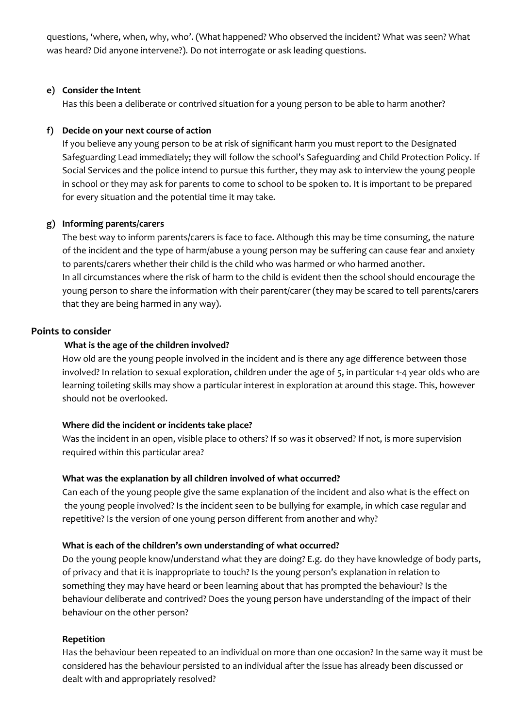questions, 'where, when, why, who'. (What happened? Who observed the incident? What was seen? What was heard? Did anyone intervene?). Do not interrogate or ask leading questions.

### **e) Consider the Intent**

Has this been a deliberate or contrived situation for a young person to be able to harm another?

## **f) Decide on your next course of action**

If you believe any young person to be at risk of significant harm you must report to the Designated Safeguarding Lead immediately; they will follow the school's Safeguarding and Child Protection Policy. If Social Services and the police intend to pursue this further, they may ask to interview the young people in school or they may ask for parents to come to school to be spoken to. It is important to be prepared for every situation and the potential time it may take.

### **g) Informing parents/carers**

The best way to inform parents/carers is face to face. Although this may be time consuming, the nature of the incident and the type of harm/abuse a young person may be suffering can cause fear and anxiety to parents/carers whether their child is the child who was harmed or who harmed another. In all circumstances where the risk of harm to the child is evident then the school should encourage the young person to share the information with their parent/carer (they may be scared to tell parents/carers that they are being harmed in any way).

### **Points to consider**

### **What is the age of the children involved?**

How old are the young people involved in the incident and is there any age difference between those involved? In relation to sexual exploration, children under the age of 5, in particular 1-4 year olds who are learning toileting skills may show a particular interest in exploration at around this stage. This, however should not be overlooked.

### **Where did the incident or incidents take place?**

Was the incident in an open, visible place to others? If so was it observed? If not, is more supervision required within this particular area?

### **What was the explanation by all children involved of what occurred?**

Can each of the young people give the same explanation of the incident and also what is the effect on the young people involved? Is the incident seen to be bullying for example, in which case regular and repetitive? Is the version of one young person different from another and why?

### **What is each of the children's own understanding of what occurred?**

Do the young people know/understand what they are doing? E.g. do they have knowledge of body parts, of privacy and that it is inappropriate to touch? Is the young person's explanation in relation to something they may have heard or been learning about that has prompted the behaviour? Is the behaviour deliberate and contrived? Does the young person have understanding of the impact of their behaviour on the other person?

### **Repetition**

Has the behaviour been repeated to an individual on more than one occasion? In the same way it must be considered has the behaviour persisted to an individual after the issue has already been discussed or dealt with and appropriately resolved?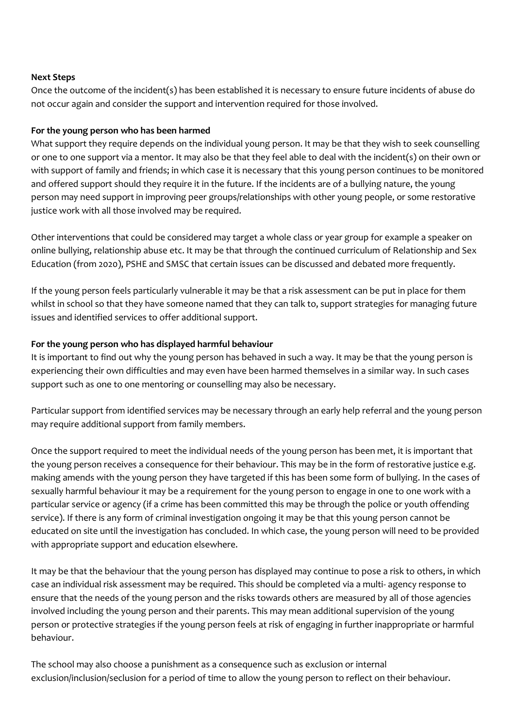### **Next Steps**

Once the outcome of the incident(s) has been established it is necessary to ensure future incidents of abuse do not occur again and consider the support and intervention required for those involved.

#### **For the young person who has been harmed**

What support they require depends on the individual young person. It may be that they wish to seek counselling or one to one support via a mentor. It may also be that they feel able to deal with the incident(s) on their own or with support of family and friends; in which case it is necessary that this young person continues to be monitored and offered support should they require it in the future. If the incidents are of a bullying nature, the young person may need support in improving peer groups/relationships with other young people, or some restorative justice work with all those involved may be required.

Other interventions that could be considered may target a whole class or year group for example a speaker on online bullying, relationship abuse etc. It may be that through the continued curriculum of Relationship and Sex Education (from 2020), PSHE and SMSC that certain issues can be discussed and debated more frequently.

If the young person feels particularly vulnerable it may be that a risk assessment can be put in place for them whilst in school so that they have someone named that they can talk to, support strategies for managing future issues and identified services to offer additional support.

### **For the young person who has displayed harmful behaviour**

It is important to find out why the young person has behaved in such a way. It may be that the young person is experiencing their own difficulties and may even have been harmed themselves in a similar way. In such cases support such as one to one mentoring or counselling may also be necessary.

Particular support from identified services may be necessary through an early help referral and the young person may require additional support from family members.

Once the support required to meet the individual needs of the young person has been met, it is important that the young person receives a consequence for their behaviour. This may be in the form of restorative justice e.g. making amends with the young person they have targeted if this has been some form of bullying. In the cases of sexually harmful behaviour it may be a requirement for the young person to engage in one to one work with a particular service or agency (if a crime has been committed this may be through the police or youth offending service). If there is any form of criminal investigation ongoing it may be that this young person cannot be educated on site until the investigation has concluded. In which case, the young person will need to be provided with appropriate support and education elsewhere.

It may be that the behaviour that the young person has displayed may continue to pose a risk to others, in which case an individual risk assessment may be required. This should be completed via a multi- agency response to ensure that the needs of the young person and the risks towards others are measured by all of those agencies involved including the young person and their parents. This may mean additional supervision of the young person or protective strategies if the young person feels at risk of engaging in further inappropriate or harmful behaviour.

The school may also choose a punishment as a consequence such as exclusion or internal exclusion/inclusion/seclusion for a period of time to allow the young person to reflect on their behaviour.